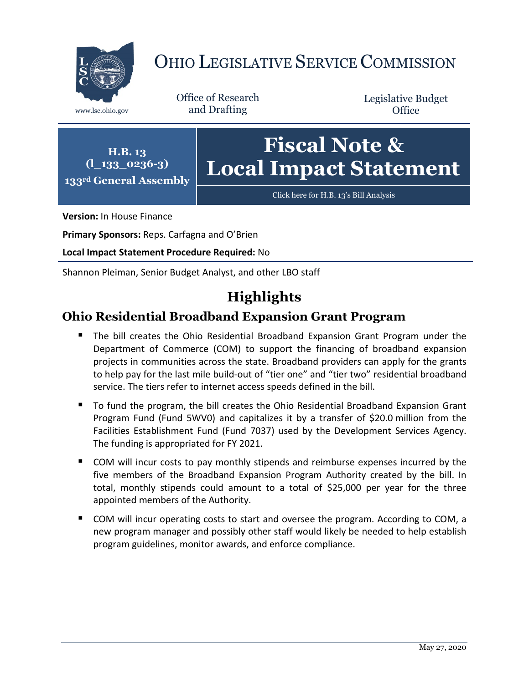

# OHIO LEGISLATIVE SERVICE COMMISSION

Office of Research www.lsc.ohio.gov and Drafting

Legislative Budget **Office** 



**Version:** In House Finance

**Primary Sponsors:** Reps. Carfagna and O'Brien

**Local Impact Statement Procedure Required:** No

Shannon Pleiman, Senior Budget Analyst, and other LBO staff

# **Highlights**

### **Ohio Residential Broadband Expansion Grant Program**

- **The bill creates the Ohio Residential Broadband Expansion Grant Program under the** Department of Commerce (COM) to support the financing of broadband expansion projects in communities across the state. Broadband providers can apply for the grants to help pay for the last mile build-out of "tier one" and "tier two" residential broadband service. The tiers refer to internet access speeds defined in the bill.
- To fund the program, the bill creates the Ohio Residential Broadband Expansion Grant Program Fund (Fund 5WV0) and capitalizes it by a transfer of \$20.0 million from the Facilities Establishment Fund (Fund 7037) used by the Development Services Agency. The funding is appropriated for FY 2021.
- COM will incur costs to pay monthly stipends and reimburse expenses incurred by the five members of the Broadband Expansion Program Authority created by the bill. In total, monthly stipends could amount to a total of \$25,000 per year for the three appointed members of the Authority.
- COM will incur operating costs to start and oversee the program. According to COM, a new program manager and possibly other staff would likely be needed to help establish program guidelines, monitor awards, and enforce compliance.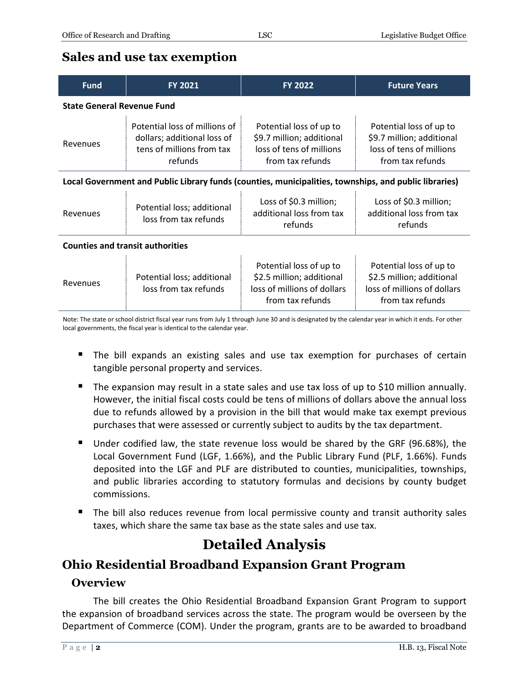#### **Sales and use tax exemption**

| <b>Fund</b>                                                                                           | <b>FY 2021</b>                                                                                       | <b>FY 2022</b>                                                                                          | <b>Future Years</b>                                                                                     |
|-------------------------------------------------------------------------------------------------------|------------------------------------------------------------------------------------------------------|---------------------------------------------------------------------------------------------------------|---------------------------------------------------------------------------------------------------------|
| <b>State General Revenue Fund</b>                                                                     |                                                                                                      |                                                                                                         |                                                                                                         |
| Revenues                                                                                              | Potential loss of millions of<br>dollars; additional loss of<br>tens of millions from tax<br>refunds | Potential loss of up to<br>\$9.7 million; additional<br>loss of tens of millions<br>from tax refunds    | Potential loss of up to<br>\$9.7 million; additional<br>loss of tens of millions<br>from tax refunds    |
| Local Government and Public Library funds (counties, municipalities, townships, and public libraries) |                                                                                                      |                                                                                                         |                                                                                                         |
| Revenues                                                                                              | Potential loss; additional<br>loss from tax refunds                                                  | Loss of \$0.3 million;<br>additional loss from tax<br>refunds                                           | Loss of \$0.3 million;<br>additional loss from tax<br>refunds                                           |
| <b>Counties and transit authorities</b>                                                               |                                                                                                      |                                                                                                         |                                                                                                         |
| Revenues                                                                                              | Potential loss; additional<br>loss from tax refunds                                                  | Potential loss of up to<br>\$2.5 million; additional<br>loss of millions of dollars<br>from tax refunds | Potential loss of up to<br>\$2.5 million; additional<br>loss of millions of dollars<br>from tax refunds |

Note: The state or school district fiscal year runs from July 1 through June 30 and is designated by the calendar year in which it ends. For other local governments, the fiscal year is identical to the calendar year.

- **The bill expands an existing sales and use tax exemption for purchases of certain** tangible personal property and services.
- The expansion may result in a state sales and use tax loss of up to \$10 million annually. However, the initial fiscal costs could be tens of millions of dollars above the annual loss due to refunds allowed by a provision in the bill that would make tax exempt previous purchases that were assessed or currently subject to audits by the tax department.
- Under codified law, the state revenue loss would be shared by the GRF (96.68%), the Local Government Fund (LGF, 1.66%), and the Public Library Fund (PLF, 1.66%). Funds deposited into the LGF and PLF are distributed to counties, municipalities, townships, and public libraries according to statutory formulas and decisions by county budget commissions.
- The bill also reduces revenue from local permissive county and transit authority sales taxes, which share the same tax base as the state sales and use tax.

## **Detailed Analysis**

### **Ohio Residential Broadband Expansion Grant Program**

#### **Overview**

The bill creates the Ohio Residential Broadband Expansion Grant Program to support the expansion of broadband services across the state. The program would be overseen by the Department of Commerce (COM). Under the program, grants are to be awarded to broadband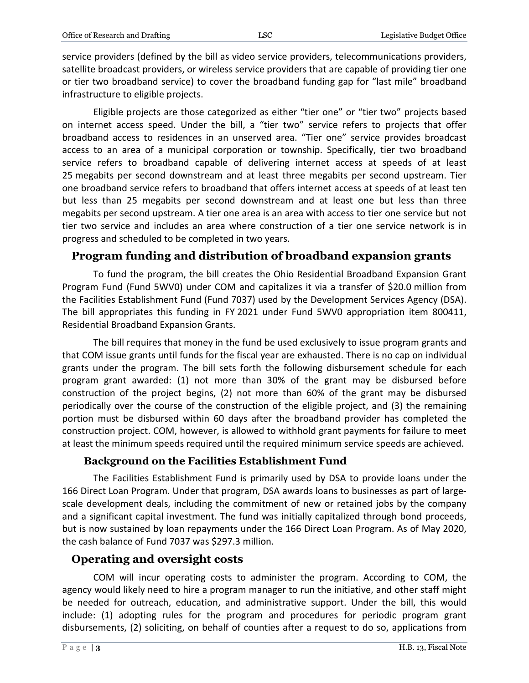service providers (defined by the bill as video service providers, telecommunications providers, satellite broadcast providers, or wireless service providers that are capable of providing tier one or tier two broadband service) to cover the broadband funding gap for "last mile" broadband infrastructure to eligible projects.

Eligible projects are those categorized as either "tier one" or "tier two" projects based on internet access speed. Under the bill, a "tier two" service refers to projects that offer broadband access to residences in an unserved area. "Tier one" service provides broadcast access to an area of a municipal corporation or township. Specifically, tier two broadband service refers to broadband capable of delivering internet access at speeds of at least 25 megabits per second downstream and at least three megabits per second upstream. Tier one broadband service refers to broadband that offers internet access at speeds of at least ten but less than 25 megabits per second downstream and at least one but less than three megabits per second upstream. A tier one area is an area with access to tier one service but not tier two service and includes an area where construction of a tier one service network is in progress and scheduled to be completed in two years.

#### **Program funding and distribution of broadband expansion grants**

To fund the program, the bill creates the Ohio Residential Broadband Expansion Grant Program Fund (Fund 5WV0) under COM and capitalizes it via a transfer of \$20.0 million from the Facilities Establishment Fund (Fund 7037) used by the Development Services Agency (DSA). The bill appropriates this funding in FY 2021 under Fund 5WV0 appropriation item 800411, Residential Broadband Expansion Grants.

The bill requires that money in the fund be used exclusively to issue program grants and that COM issue grants until funds for the fiscal year are exhausted. There is no cap on individual grants under the program. The bill sets forth the following disbursement schedule for each program grant awarded: (1) not more than 30% of the grant may be disbursed before construction of the project begins, (2) not more than 60% of the grant may be disbursed periodically over the course of the construction of the eligible project, and (3) the remaining portion must be disbursed within 60 days after the broadband provider has completed the construction project. COM, however, is allowed to withhold grant payments for failure to meet at least the minimum speeds required until the required minimum service speeds are achieved.

#### **Background on the Facilities Establishment Fund**

The Facilities Establishment Fund is primarily used by DSA to provide loans under the 166 Direct Loan Program. Under that program, DSA awards loans to businesses as part of largescale development deals, including the commitment of new or retained jobs by the company and a significant capital investment. The fund was initially capitalized through bond proceeds, but is now sustained by loan repayments under the 166 Direct Loan Program. As of May 2020, the cash balance of Fund 7037 was \$297.3 million.

#### **Operating and oversight costs**

COM will incur operating costs to administer the program. According to COM, the agency would likely need to hire a program manager to run the initiative, and other staff might be needed for outreach, education, and administrative support. Under the bill, this would include: (1) adopting rules for the program and procedures for periodic program grant disbursements, (2) soliciting, on behalf of counties after a request to do so, applications from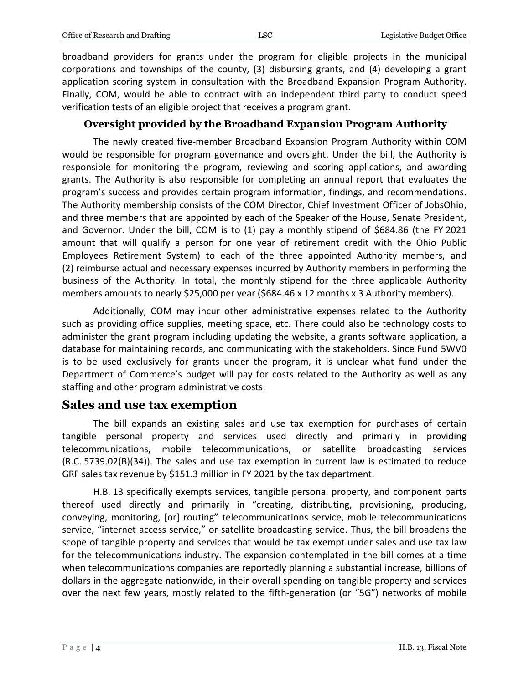broadband providers for grants under the program for eligible projects in the municipal corporations and townships of the county, (3) disbursing grants, and (4) developing a grant application scoring system in consultation with the Broadband Expansion Program Authority. Finally, COM, would be able to contract with an independent third party to conduct speed verification tests of an eligible project that receives a program grant.

#### **Oversight provided by the Broadband Expansion Program Authority**

The newly created five-member Broadband Expansion Program Authority within COM would be responsible for program governance and oversight. Under the bill, the Authority is responsible for monitoring the program, reviewing and scoring applications, and awarding grants. The Authority is also responsible for completing an annual report that evaluates the program's success and provides certain program information, findings, and recommendations. The Authority membership consists of the COM Director, Chief Investment Officer of JobsOhio, and three members that are appointed by each of the Speaker of the House, Senate President, and Governor. Under the bill, COM is to (1) pay a monthly stipend of \$684.86 (the FY 2021 amount that will qualify a person for one year of retirement credit with the Ohio Public Employees Retirement System) to each of the three appointed Authority members, and (2) reimburse actual and necessary expenses incurred by Authority members in performing the business of the Authority. In total, the monthly stipend for the three applicable Authority members amounts to nearly \$25,000 per year (\$684.46 x 12 months x 3 Authority members).

Additionally, COM may incur other administrative expenses related to the Authority such as providing office supplies, meeting space, etc. There could also be technology costs to administer the grant program including updating the website, a grants software application, a database for maintaining records, and communicating with the stakeholders. Since Fund 5WV0 is to be used exclusively for grants under the program, it is unclear what fund under the Department of Commerce's budget will pay for costs related to the Authority as well as any staffing and other program administrative costs.

### **Sales and use tax exemption**

The bill expands an existing sales and use tax exemption for purchases of certain tangible personal property and services used directly and primarily in providing telecommunications, mobile telecommunications, or satellite broadcasting services (R.C. 5739.02(B)(34)). The sales and use tax exemption in current law is estimated to reduce GRF sales tax revenue by \$151.3 million in FY 2021 by the tax department.

H.B. 13 specifically exempts services, tangible personal property, and component parts thereof used directly and primarily in "creating, distributing, provisioning, producing, conveying, monitoring, [or] routing" telecommunications service, mobile telecommunications service, "internet access service," or satellite broadcasting service. Thus, the bill broadens the scope of tangible property and services that would be tax exempt under sales and use tax law for the telecommunications industry. The expansion contemplated in the bill comes at a time when telecommunications companies are reportedly planning a substantial increase, billions of dollars in the aggregate nationwide, in their overall spending on tangible property and services over the next few years, mostly related to the fifth-generation (or "5G") networks of mobile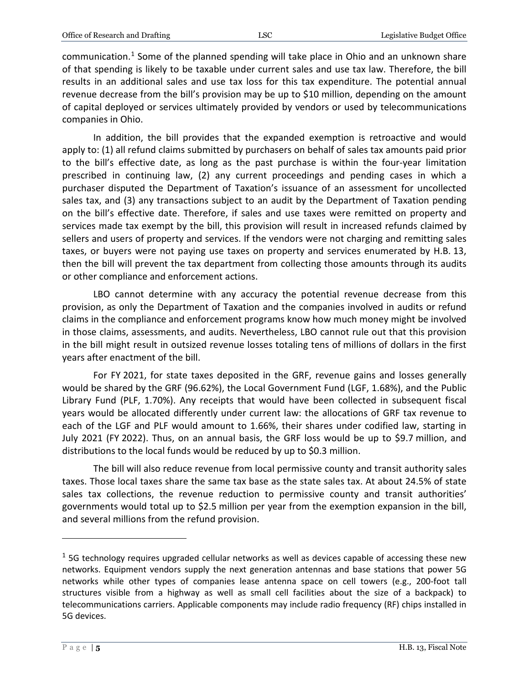communication.<sup>[1](#page-4-0)</sup> Some of the planned spending will take place in Ohio and an unknown share of that spending is likely to be taxable under current sales and use tax law. Therefore, the bill results in an additional sales and use tax loss for this tax expenditure. The potential annual revenue decrease from the bill's provision may be up to \$10 million, depending on the amount of capital deployed or services ultimately provided by vendors or used by telecommunications companies in Ohio.

In addition, the bill provides that the expanded exemption is retroactive and would apply to: (1) all refund claims submitted by purchasers on behalf of sales tax amounts paid prior to the bill's effective date, as long as the past purchase is within the four-year limitation prescribed in continuing law, (2) any current proceedings and pending cases in which a purchaser disputed the Department of Taxation's issuance of an assessment for uncollected sales tax, and (3) any transactions subject to an audit by the Department of Taxation pending on the bill's effective date. Therefore, if sales and use taxes were remitted on property and services made tax exempt by the bill, this provision will result in increased refunds claimed by sellers and users of property and services. If the vendors were not charging and remitting sales taxes, or buyers were not paying use taxes on property and services enumerated by H.B. 13, then the bill will prevent the tax department from collecting those amounts through its audits or other compliance and enforcement actions.

LBO cannot determine with any accuracy the potential revenue decrease from this provision, as only the Department of Taxation and the companies involved in audits or refund claims in the compliance and enforcement programs know how much money might be involved in those claims, assessments, and audits. Nevertheless, LBO cannot rule out that this provision in the bill might result in outsized revenue losses totaling tens of millions of dollars in the first years after enactment of the bill.

For FY 2021, for state taxes deposited in the GRF, revenue gains and losses generally would be shared by the GRF (96.62%), the Local Government Fund (LGF, 1.68%), and the Public Library Fund (PLF, 1.70%). Any receipts that would have been collected in subsequent fiscal years would be allocated differently under current law: the allocations of GRF tax revenue to each of the LGF and PLF would amount to 1.66%, their shares under codified law, starting in July 2021 (FY 2022). Thus, on an annual basis, the GRF loss would be up to \$9.7 million, and distributions to the local funds would be reduced by up to \$0.3 million.

The bill will also reduce revenue from local permissive county and transit authority sales taxes. Those local taxes share the same tax base as the state sales tax. At about 24.5% of state sales tax collections, the revenue reduction to permissive county and transit authorities' governments would total up to \$2.5 million per year from the exemption expansion in the bill, and several millions from the refund provision.

 $\overline{a}$ 

<span id="page-4-0"></span> $1$  5G technology requires upgraded cellular networks as well as devices capable of accessing these new networks. Equipment vendors supply the next generation antennas and base stations that power 5G networks while other types of companies lease antenna space on cell towers (e.g., 200-foot tall structures visible from a highway as well as small cell facilities about the size of a backpack) to telecommunications carriers. Applicable components may include radio frequency (RF) chips installed in 5G devices.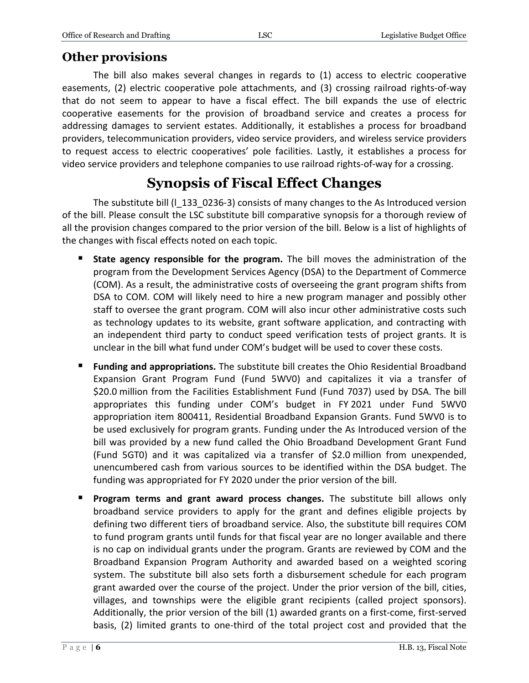### **Other provisions**

The bill also makes several changes in regards to (1) access to electric cooperative easements, (2) electric cooperative pole attachments, and (3) crossing railroad rights-of-way that do not seem to appear to have a fiscal effect. The bill expands the use of electric cooperative easements for the provision of broadband service and creates a process for addressing damages to servient estates. Additionally, it establishes a process for broadband providers, telecommunication providers, video service providers, and wireless service providers to request access to electric cooperatives' pole facilities. Lastly, it establishes a process for video service providers and telephone companies to use railroad rights-of-way for a crossing.

# **Synopsis of Fiscal Effect Changes**

The substitute bill (l\_133\_0236-3) consists of many changes to the As Introduced version of the bill. Please consult the LSC substitute bill comparative synopsis for a thorough review of all the provision changes compared to the prior version of the bill. Below is a list of highlights of the changes with fiscal effects noted on each topic.

- **State agency responsible for the program.** The bill moves the administration of the program from the Development Services Agency (DSA) to the Department of Commerce (COM). As a result, the administrative costs of overseeing the grant program shifts from DSA to COM. COM will likely need to hire a new program manager and possibly other staff to oversee the grant program. COM will also incur other administrative costs such as technology updates to its website, grant software application, and contracting with an independent third party to conduct speed verification tests of project grants. It is unclear in the bill what fund under COM's budget will be used to cover these costs.
- **Funding and appropriations.** The substitute bill creates the Ohio Residential Broadband Expansion Grant Program Fund (Fund 5WV0) and capitalizes it via a transfer of \$20.0 million from the Facilities Establishment Fund (Fund 7037) used by DSA. The bill appropriates this funding under COM's budget in FY 2021 under Fund 5WV0 appropriation item 800411, Residential Broadband Expansion Grants. Fund 5WV0 is to be used exclusively for program grants. Funding under the As Introduced version of the bill was provided by a new fund called the Ohio Broadband Development Grant Fund (Fund 5GT0) and it was capitalized via a transfer of \$2.0 million from unexpended, unencumbered cash from various sources to be identified within the DSA budget. The funding was appropriated for FY 2020 under the prior version of the bill.
- **Program terms and grant award process changes.** The substitute bill allows only broadband service providers to apply for the grant and defines eligible projects by defining two different tiers of broadband service. Also, the substitute bill requires COM to fund program grants until funds for that fiscal year are no longer available and there is no cap on individual grants under the program. Grants are reviewed by COM and the Broadband Expansion Program Authority and awarded based on a weighted scoring system. The substitute bill also sets forth a disbursement schedule for each program grant awarded over the course of the project. Under the prior version of the bill, cities, villages, and townships were the eligible grant recipients (called project sponsors). Additionally, the prior version of the bill (1) awarded grants on a first-come, first-served basis, (2) limited grants to one-third of the total project cost and provided that the